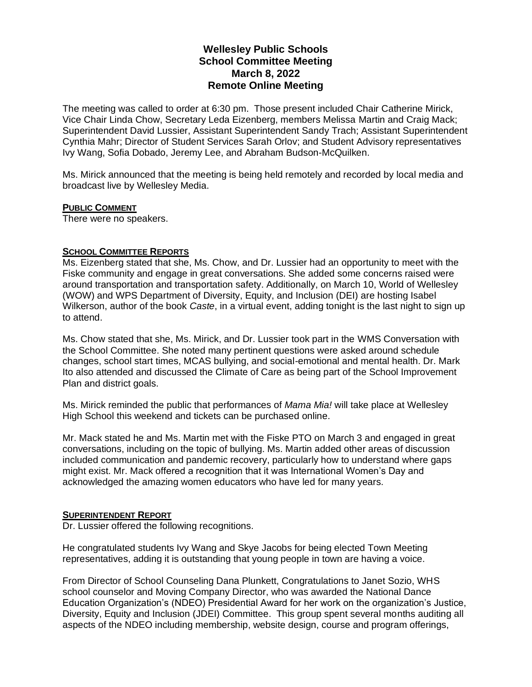# **Wellesley Public Schools School Committee Meeting March 8, 2022 Remote Online Meeting**

The meeting was called to order at 6:30 pm. Those present included Chair Catherine Mirick, Vice Chair Linda Chow, Secretary Leda Eizenberg, members Melissa Martin and Craig Mack; Superintendent David Lussier, Assistant Superintendent Sandy Trach; Assistant Superintendent Cynthia Mahr; Director of Student Services Sarah Orlov; and Student Advisory representatives Ivy Wang, Sofia Dobado, Jeremy Lee, and Abraham Budson-McQuilken.

Ms. Mirick announced that the meeting is being held remotely and recorded by local media and broadcast live by Wellesley Media.

## **PUBLIC COMMENT**

There were no speakers.

## **SCHOOL COMMITTEE REPORTS**

Ms. Eizenberg stated that she, Ms. Chow, and Dr. Lussier had an opportunity to meet with the Fiske community and engage in great conversations. She added some concerns raised were around transportation and transportation safety. Additionally, on March 10, World of Wellesley (WOW) and WPS Department of Diversity, Equity, and Inclusion (DEI) are hosting Isabel Wilkerson, author of the book *Caste*, in a virtual event, adding tonight is the last night to sign up to attend.

Ms. Chow stated that she, Ms. Mirick, and Dr. Lussier took part in the WMS Conversation with the School Committee. She noted many pertinent questions were asked around schedule changes, school start times, MCAS bullying, and social-emotional and mental health. Dr. Mark Ito also attended and discussed the Climate of Care as being part of the School Improvement Plan and district goals.

Ms. Mirick reminded the public that performances of *Mama Mia!* will take place at Wellesley High School this weekend and tickets can be purchased online.

Mr. Mack stated he and Ms. Martin met with the Fiske PTO on March 3 and engaged in great conversations, including on the topic of bullying. Ms. Martin added other areas of discussion included communication and pandemic recovery, particularly how to understand where gaps might exist. Mr. Mack offered a recognition that it was International Women's Day and acknowledged the amazing women educators who have led for many years.

#### **SUPERINTENDENT REPORT**

Dr. Lussier offered the following recognitions.

He congratulated students Ivy Wang and Skye Jacobs for being elected Town Meeting representatives, adding it is outstanding that young people in town are having a voice.

From Director of School Counseling Dana Plunkett, Congratulations to Janet Sozio, WHS school counselor and Moving Company Director, who was awarded the National Dance Education Organization's (NDEO) Presidential Award for her work on the organization's Justice, Diversity, Equity and Inclusion (JDEI) Committee. This group spent several months auditing all aspects of the NDEO including membership, website design, course and program offerings,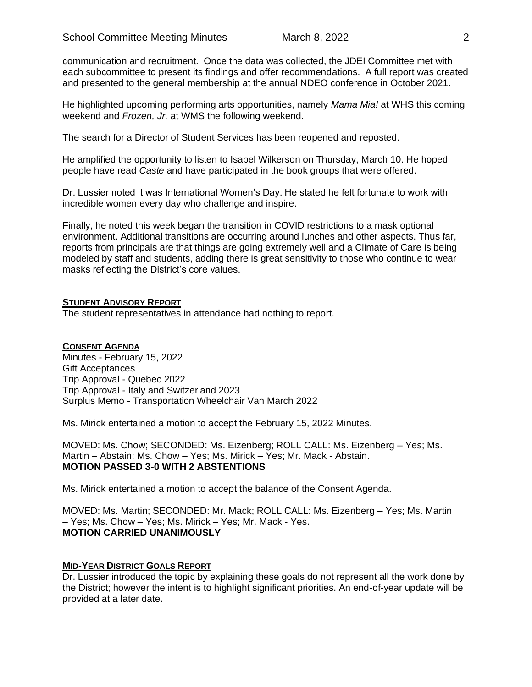communication and recruitment. Once the data was collected, the JDEI Committee met with each subcommittee to present its findings and offer recommendations. A full report was created and presented to the general membership at the annual NDEO conference in October 2021.

He highlighted upcoming performing arts opportunities, namely *Mama Mia!* at WHS this coming weekend and *Frozen, Jr.* at WMS the following weekend.

The search for a Director of Student Services has been reopened and reposted.

He amplified the opportunity to listen to Isabel Wilkerson on Thursday, March 10. He hoped people have read *Caste* and have participated in the book groups that were offered.

Dr. Lussier noted it was International Women's Day. He stated he felt fortunate to work with incredible women every day who challenge and inspire.

Finally, he noted this week began the transition in COVID restrictions to a mask optional environment. Additional transitions are occurring around lunches and other aspects. Thus far, reports from principals are that things are going extremely well and a Climate of Care is being modeled by staff and students, adding there is great sensitivity to those who continue to wear masks reflecting the District's core values.

## **STUDENT ADVISORY REPORT**

The student representatives in attendance had nothing to report.

## **CONSENT AGENDA**

Minutes - February 15, 2022 Gift Acceptances Trip Approval - Quebec 2022 Trip Approval - Italy and Switzerland 2023 Surplus Memo - Transportation Wheelchair Van March 2022

Ms. Mirick entertained a motion to accept the February 15, 2022 Minutes.

MOVED: Ms. Chow; SECONDED: Ms. Eizenberg; ROLL CALL: Ms. Eizenberg – Yes; Ms. Martin – Abstain; Ms. Chow – Yes; Ms. Mirick – Yes; Mr. Mack - Abstain. **MOTION PASSED 3-0 WITH 2 ABSTENTIONS**

Ms. Mirick entertained a motion to accept the balance of the Consent Agenda.

MOVED: Ms. Martin; SECONDED: Mr. Mack; ROLL CALL: Ms. Eizenberg – Yes; Ms. Martin – Yes; Ms. Chow – Yes; Ms. Mirick – Yes; Mr. Mack - Yes. **MOTION CARRIED UNANIMOUSLY**

#### **MID-YEAR DISTRICT GOALS REPORT**

Dr. Lussier introduced the topic by explaining these goals do not represent all the work done by the District; however the intent is to highlight significant priorities. An end-of-year update will be provided at a later date.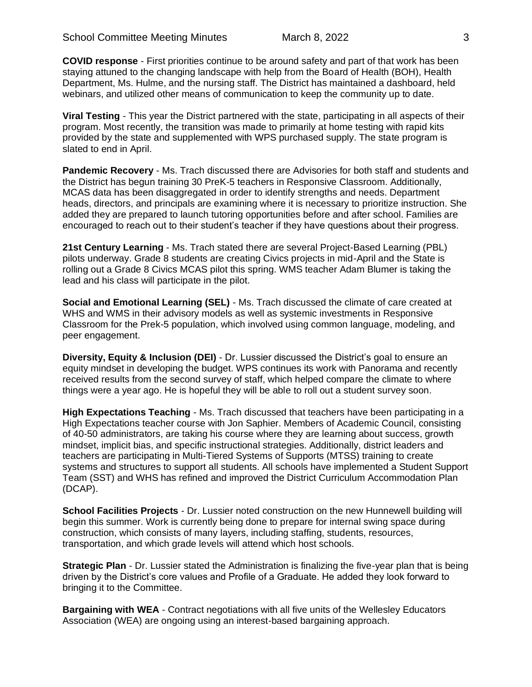**COVID response** - First priorities continue to be around safety and part of that work has been staying attuned to the changing landscape with help from the Board of Health (BOH), Health Department, Ms. Hulme, and the nursing staff. The District has maintained a dashboard, held webinars, and utilized other means of communication to keep the community up to date.

**Viral Testing** - This year the District partnered with the state, participating in all aspects of their program. Most recently, the transition was made to primarily at home testing with rapid kits provided by the state and supplemented with WPS purchased supply. The state program is slated to end in April.

**Pandemic Recovery** - Ms. Trach discussed there are Advisories for both staff and students and the District has begun training 30 PreK-5 teachers in Responsive Classroom. Additionally, MCAS data has been disaggregated in order to identify strengths and needs. Department heads, directors, and principals are examining where it is necessary to prioritize instruction. She added they are prepared to launch tutoring opportunities before and after school. Families are encouraged to reach out to their student's teacher if they have questions about their progress.

**21st Century Learning** - Ms. Trach stated there are several Project-Based Learning (PBL) pilots underway. Grade 8 students are creating Civics projects in mid-April and the State is rolling out a Grade 8 Civics MCAS pilot this spring. WMS teacher Adam Blumer is taking the lead and his class will participate in the pilot.

**Social and Emotional Learning (SEL)** - Ms. Trach discussed the climate of care created at WHS and WMS in their advisory models as well as systemic investments in Responsive Classroom for the Prek-5 population, which involved using common language, modeling, and peer engagement.

**Diversity, Equity & Inclusion (DEI)** - Dr. Lussier discussed the District's goal to ensure an equity mindset in developing the budget. WPS continues its work with Panorama and recently received results from the second survey of staff, which helped compare the climate to where things were a year ago. He is hopeful they will be able to roll out a student survey soon.

**High Expectations Teaching** - Ms. Trach discussed that teachers have been participating in a High Expectations teacher course with Jon Saphier. Members of Academic Council, consisting of 40-50 administrators, are taking his course where they are learning about success, growth mindset, implicit bias, and specific instructional strategies. Additionally, district leaders and teachers are participating in Multi-Tiered Systems of Supports (MTSS) training to create systems and structures to support all students. All schools have implemented a Student Support Team (SST) and WHS has refined and improved the District Curriculum Accommodation Plan (DCAP).

**School Facilities Projects** - Dr. Lussier noted construction on the new Hunnewell building will begin this summer. Work is currently being done to prepare for internal swing space during construction, which consists of many layers, including staffing, students, resources, transportation, and which grade levels will attend which host schools.

**Strategic Plan** - Dr. Lussier stated the Administration is finalizing the five-year plan that is being driven by the District's core values and Profile of a Graduate. He added they look forward to bringing it to the Committee.

**Bargaining with WEA** - Contract negotiations with all five units of the Wellesley Educators Association (WEA) are ongoing using an interest-based bargaining approach.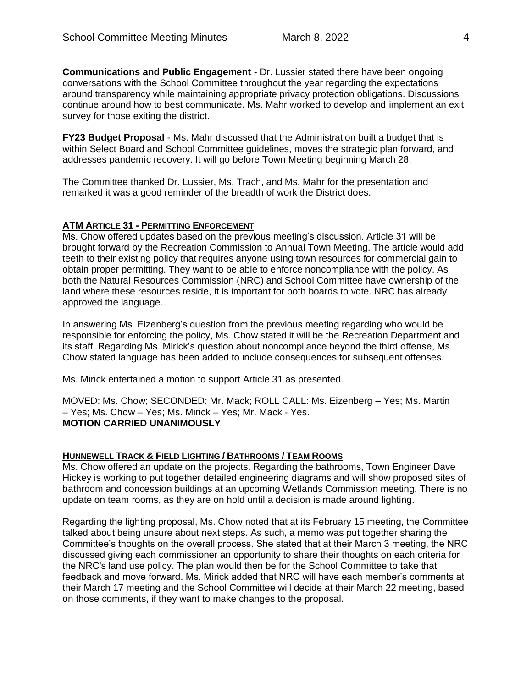**Communications and Public Engagement** - Dr. Lussier stated there have been ongoing conversations with the School Committee throughout the year regarding the expectations around transparency while maintaining appropriate privacy protection obligations. Discussions continue around how to best communicate. Ms. Mahr worked to develop and implement an exit survey for those exiting the district.

**FY23 Budget Proposal** - Ms. Mahr discussed that the Administration built a budget that is within Select Board and School Committee guidelines, moves the strategic plan forward, and addresses pandemic recovery. It will go before Town Meeting beginning March 28.

The Committee thanked Dr. Lussier, Ms. Trach, and Ms. Mahr for the presentation and remarked it was a good reminder of the breadth of work the District does.

## **ATM ARTICLE 31 - PERMITTING ENFORCEMENT**

Ms. Chow offered updates based on the previous meeting's discussion. Article 31 will be brought forward by the Recreation Commission to Annual Town Meeting. The article would add teeth to their existing policy that requires anyone using town resources for commercial gain to obtain proper permitting. They want to be able to enforce noncompliance with the policy. As both the Natural Resources Commission (NRC) and School Committee have ownership of the land where these resources reside, it is important for both boards to vote. NRC has already approved the language.

In answering Ms. Eizenberg's question from the previous meeting regarding who would be responsible for enforcing the policy, Ms. Chow stated it will be the Recreation Department and its staff. Regarding Ms. Mirick's question about noncompliance beyond the third offense, Ms. Chow stated language has been added to include consequences for subsequent offenses.

Ms. Mirick entertained a motion to support Article 31 as presented.

MOVED: Ms. Chow; SECONDED: Mr. Mack; ROLL CALL: Ms. Eizenberg – Yes; Ms. Martin – Yes; Ms. Chow – Yes; Ms. Mirick – Yes; Mr. Mack - Yes. **MOTION CARRIED UNANIMOUSLY**

## **HUNNEWELL TRACK & FIELD LIGHTING / BATHROOMS / TEAM ROOMS**

Ms. Chow offered an update on the projects. Regarding the bathrooms, Town Engineer Dave Hickey is working to put together detailed engineering diagrams and will show proposed sites of bathroom and concession buildings at an upcoming Wetlands Commission meeting. There is no update on team rooms, as they are on hold until a decision is made around lighting.

Regarding the lighting proposal, Ms. Chow noted that at its February 15 meeting, the Committee talked about being unsure about next steps. As such, a memo was put together sharing the Committee's thoughts on the overall process. She stated that at their March 3 meeting, the NRC discussed giving each commissioner an opportunity to share their thoughts on each criteria for the NRC's land use policy. The plan would then be for the School Committee to take that feedback and move forward. Ms. Mirick added that NRC will have each member's comments at their March 17 meeting and the School Committee will decide at their March 22 meeting, based on those comments, if they want to make changes to the proposal.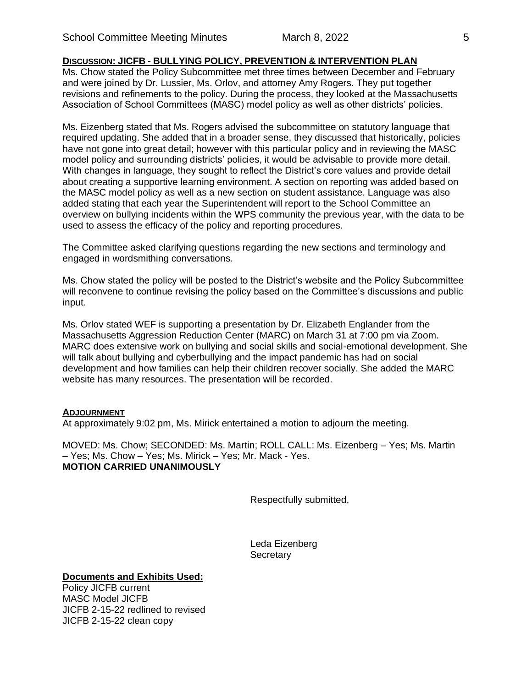## **DISCUSSION: JICFB - BULLYING POLICY, PREVENTION & INTERVENTION PLAN**

Ms. Chow stated the Policy Subcommittee met three times between December and February and were joined by Dr. Lussier, Ms. Orlov, and attorney Amy Rogers. They put together revisions and refinements to the policy. During the process, they looked at the Massachusetts Association of School Committees (MASC) model policy as well as other districts' policies.

Ms. Eizenberg stated that Ms. Rogers advised the subcommittee on statutory language that required updating. She added that in a broader sense, they discussed that historically, policies have not gone into great detail; however with this particular policy and in reviewing the MASC model policy and surrounding districts' policies, it would be advisable to provide more detail. With changes in language, they sought to reflect the District's core values and provide detail about creating a supportive learning environment. A section on reporting was added based on the MASC model policy as well as a new section on student assistance. Language was also added stating that each year the Superintendent will report to the School Committee an overview on bullying incidents within the WPS community the previous year, with the data to be used to assess the efficacy of the policy and reporting procedures.

The Committee asked clarifying questions regarding the new sections and terminology and engaged in wordsmithing conversations.

Ms. Chow stated the policy will be posted to the District's website and the Policy Subcommittee will reconvene to continue revising the policy based on the Committee's discussions and public input.

Ms. Orlov stated WEF is supporting a presentation by Dr. Elizabeth Englander from the Massachusetts Aggression Reduction Center (MARC) on March 31 at 7:00 pm via Zoom. MARC does extensive work on bullying and social skills and social-emotional development. She will talk about bullying and cyberbullying and the impact pandemic has had on social development and how families can help their children recover socially. She added the MARC website has many resources. The presentation will be recorded.

#### **ADJOURNMENT**

At approximately 9:02 pm, Ms. Mirick entertained a motion to adjourn the meeting.

MOVED: Ms. Chow; SECONDED: Ms. Martin; ROLL CALL: Ms. Eizenberg – Yes; Ms. Martin – Yes; Ms. Chow – Yes; Ms. Mirick – Yes; Mr. Mack - Yes. **MOTION CARRIED UNANIMOUSLY**

Respectfully submitted,

Leda Eizenberg **Secretary** 

## **Documents and Exhibits Used:**

Policy JICFB current MASC Model JICFB JICFB 2-15-22 redlined to revised JICFB 2-15-22 clean copy